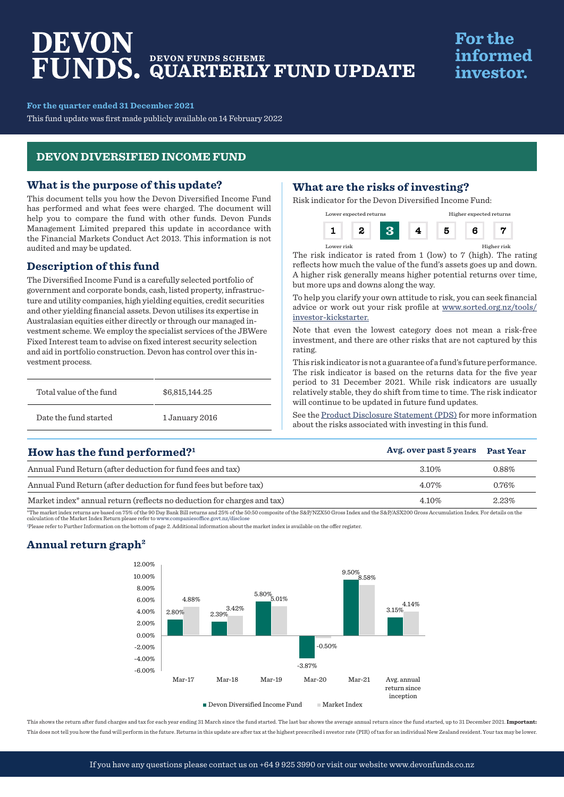# DEVON **DEVON FUNDS SCHEME QUARTERLY FUND UPDATE**

# **For the** informed investor.

**For the quarter ended 31 December 2021**

This fund update was first made publicly available on 14 February 2022

# **DEVON DIVERSIFIED INCOME FUND**

### **What is the purpose of this update?**

This document tells you how the Devon Diversified Income Fund has performed and what fees were charged. The document will help you to compare the fund with other funds. Devon Funds Management Limited prepared this update in accordance with the Financial Markets Conduct Act 2013. This information is not audited and may be updated.

# **Description of this fund**

The Diversified Income Fund is a carefully selected portfolio of government and corporate bonds, cash, listed property, infrastructure and utility companies, high yielding equities, credit securities and other yielding financial assets. Devon utilises its expertise in Australasian equities either directly or through our managed investment scheme. We employ the specialist services of the JBWere Fixed Interest team to advise on fixed interest security selection and aid in portfolio construction. Devon has control over this investment process.

| Total value of the fund | \$6,815,144.25 |  |
|-------------------------|----------------|--|
| Date the fund started   | 1 January 2016 |  |

# **What are the risks of investing?**

Risk indicator for the Devon Diversified Income Fund:



The risk indicator is rated from 1 (low) to 7 (high). The rating reflects how much the value of the fund's assets goes up and down. A higher risk generally means higher potential returns over time, but more ups and downs along the way.

Lower risk Higher risk

To help you clarify your own attitude to risk, you can seek financial advice or work out your risk profile at www.sorted.org.nz/tools/ investor-kickstarter.

Note that even the lowest category does not mean a risk-free investment, and there are other risks that are not captured by this rating.

This risk indicator is not a guarantee of a fund's future performance. The risk indicator is based on the returns data for the five year period to 31 December 2021. While risk indicators are usually relatively stable, they do shift from time to time. The risk indicator will continue to be updated in future fund updates.

See the [Product Disclosure Statement \(PDS\)](https://devonfunds.co.nz/sites/default/files/Devon%20Investment%20Funds%20Product%20Disclosure%20Statement.pdf) for more information about the risks associated with investing in this fund.

| How has the fund performed? <sup>1</sup>                                            | Avg. over past 5 years | <b>Past Year</b> |
|-------------------------------------------------------------------------------------|------------------------|------------------|
| Annual Fund Return (after deduction for fund fees and tax)                          | $3.10\%$               | 0.88%            |
| Annual Fund Return (after deduction for fund fees but before tax)                   | $4.07\%$               | $0.76\%$         |
| Market index <sup>*</sup> annual return (reflects no deduction for charges and tax) | 4.10%                  | 2.23%            |

\*The market index returns are based on 75% of the 90 Day Bank Bill returns and 25% of the 50:50 composite of the S&P/NZX50 Gross Index and the S&P/ASX200 Gross Accumulation Index. For details on the<br>calculation of the Mark

1 Please refer to Further Information on the bottom of page 2. Additional information about the market index is available on the offer register.

# **Annual return graph2**



This shows the return after fund charges and tax for each year ending 31 March since the fund started. The last bar shows the average annual return since the fund started, up to 31 December 2021. **Important:** This does not tell you how the fund will perform in the future. Returns in this update are after tax at the highest prescribed i nvestor rate (PIR) of tax for an individual New Zealand resident. Your tax may be lower.